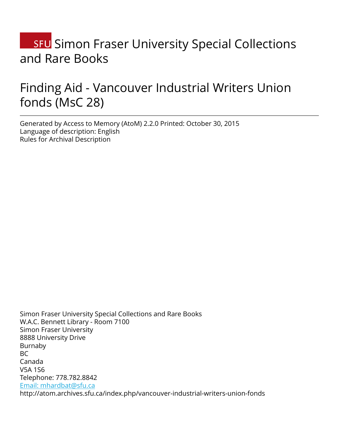# **SFU** Simon Fraser University Special Collections and Rare Books

# Finding Aid - Vancouver Industrial Writers Union fonds (MsC 28)

Generated by Access to Memory (AtoM) 2.2.0 Printed: October 30, 2015 Language of description: English Rules for Archival Description

Simon Fraser University Special Collections and Rare Books W.A.C. Bennett Library - Room 7100 Simon Fraser University 8888 University Drive Burnaby BC Canada V5A 1S6 Telephone: 778.782.8842 [Email: mhardbat@sfu.ca](mailto:Email: mhardbat@sfu.ca) http://atom.archives.sfu.ca/index.php/vancouver-industrial-writers-union-fonds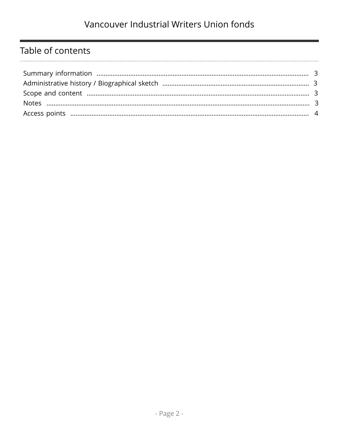## Table of contents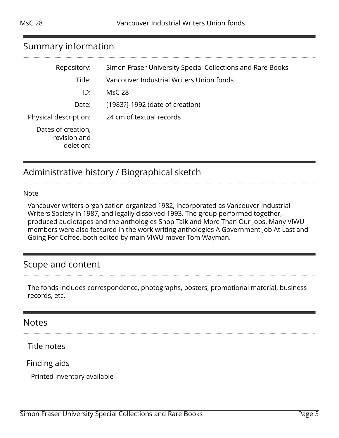#### <span id="page-2-0"></span>Summary information

| Repository:                                     | Simon Fraser University Special Collections and Rare Books |
|-------------------------------------------------|------------------------------------------------------------|
| Title:                                          | Vancouver Industrial Writers Union fonds                   |
| ID:                                             | MsC 28                                                     |
| Date:                                           | [1983?]-1992 (date of creation)                            |
| Physical description:                           | 24 cm of textual records                                   |
| Dates of creation,<br>revision and<br>deletion: |                                                            |

## <span id="page-2-1"></span>Administrative history / Biographical sketch

#### Note

Vancouver writers organization organized 1982, incorporated as Vancouver Industrial Writers Society in 1987, and legally dissolved 1993. The group performed together, produced audiotapes and the anthologies Shop Talk and More Than Our Jobs. Many VIWU members were also featured in the work writing anthologies A Government Job At Last and Going For Coffee, both edited by main VIWU mover Tom Wayman.

#### <span id="page-2-2"></span>Scope and content

The fonds includes correspondence, photographs, posters, promotional material, business records, etc.

#### <span id="page-2-3"></span>Notes

Title notes

Finding aids

Printed inventory available